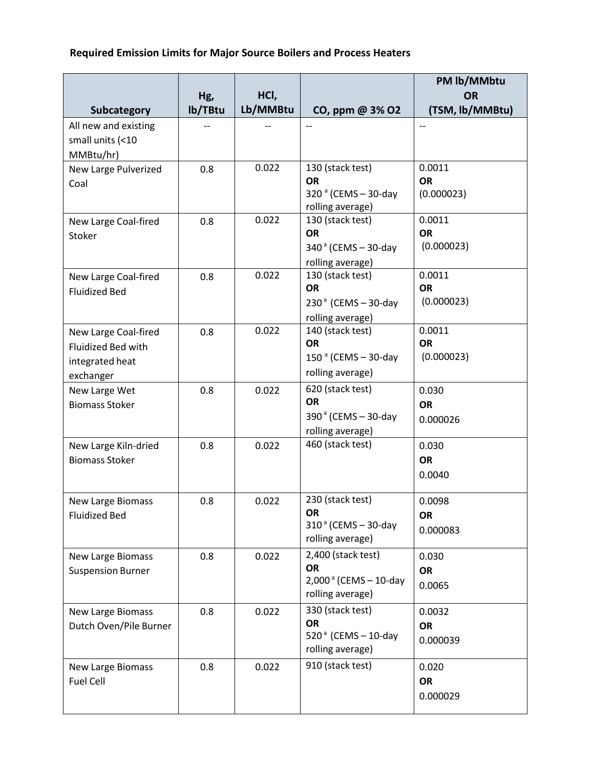## **Required Emission Limits for Major Source Boilers and Process Heaters**

|                                                                            | Hg,     | HCI,     |                                                                                       | PM lb/MMbtu<br><b>OR</b>          |
|----------------------------------------------------------------------------|---------|----------|---------------------------------------------------------------------------------------|-----------------------------------|
| Subcategory                                                                | lb/TBtu | Lb/MMBtu | CO, ppm @ 3% O2                                                                       | (TSM, lb/MMBtu)                   |
| All new and existing<br>small units (<10<br>MMBtu/hr)                      |         |          | $-$                                                                                   |                                   |
| New Large Pulverized<br>Coal                                               | 0.8     | 0.022    | 130 (stack test)<br><b>OR</b><br>320 <sup>a</sup> (CEMS-30-day<br>rolling average)    | 0.0011<br><b>OR</b><br>(0.000023) |
| New Large Coal-fired<br>Stoker                                             | 0.8     | 0.022    | 130 (stack test)<br><b>OR</b><br>340 <sup>a</sup> (CEMS - 30-day<br>rolling average)  | 0.0011<br><b>OR</b><br>(0.000023) |
| New Large Coal-fired<br><b>Fluidized Bed</b>                               | 0.8     | 0.022    | 130 (stack test)<br><b>OR</b><br>$230a$ (CEMS - 30-day<br>rolling average)            | 0.0011<br><b>OR</b><br>(0.000023) |
| New Large Coal-fired<br>Fluidized Bed with<br>integrated heat<br>exchanger | 0.8     | 0.022    | 140 (stack test)<br><b>OR</b><br>$150a$ (CEMS - 30-day<br>rolling average)            | 0.0011<br><b>OR</b><br>(0.000023) |
| New Large Wet<br><b>Biomass Stoker</b>                                     | 0.8     | 0.022    | 620 (stack test)<br><b>OR</b><br>$390a$ (CEMS - 30-day<br>rolling average)            | 0.030<br><b>OR</b><br>0.000026    |
| New Large Kiln-dried<br><b>Biomass Stoker</b>                              | 0.8     | 0.022    | 460 (stack test)                                                                      | 0.030<br><b>OR</b><br>0.0040      |
| <b>New Large Biomass</b><br><b>Fluidized Bed</b>                           | 0.8     | 0.022    | 230 (stack test)<br><b>OR</b><br>$310a$ (CEMS - 30-day<br>rolling average)            | 0.0098<br><b>OR</b><br>0.000083   |
| <b>New Large Biomass</b><br><b>Suspension Burner</b>                       | 0.8     | 0.022    | 2,400 (stack test)<br><b>OR</b><br>$2,000^{\circ}$ (CEMS - 10-day<br>rolling average) | 0.030<br><b>OR</b><br>0.0065      |
| <b>New Large Biomass</b><br>Dutch Oven/Pile Burner                         | 0.8     | 0.022    | 330 (stack test)<br><b>OR</b><br>520 $a$ (CEMS - 10-day<br>rolling average)           | 0.0032<br><b>OR</b><br>0.000039   |
| <b>New Large Biomass</b><br>Fuel Cell                                      | 0.8     | 0.022    | 910 (stack test)                                                                      | 0.020<br><b>OR</b><br>0.000029    |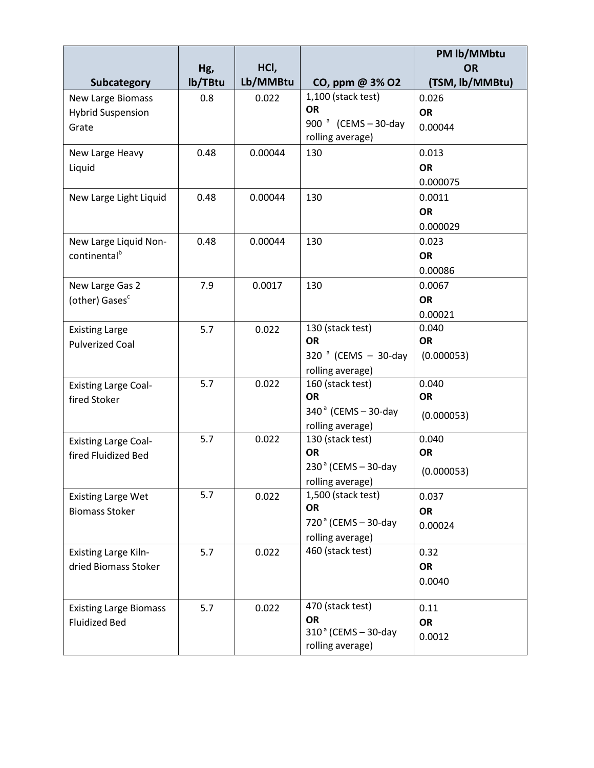|                               |         |          |                                             | PM lb/MMbtu     |
|-------------------------------|---------|----------|---------------------------------------------|-----------------|
|                               | Hg,     | HCI,     |                                             | <b>OR</b>       |
| Subcategory                   | lb/TBtu | Lb/MMBtu | CO, ppm @ 3% O2                             | (TSM, lb/MMBtu) |
| <b>New Large Biomass</b>      | 0.8     | 0.022    | 1,100 (stack test)<br><b>OR</b>             | 0.026           |
| <b>Hybrid Suspension</b>      |         |          |                                             | <b>OR</b>       |
| Grate                         |         |          | 900 $^a$ (CEMS - 30-day<br>rolling average) | 0.00044         |
| New Large Heavy               | 0.48    | 0.00044  | 130                                         | 0.013           |
| Liquid                        |         |          |                                             | <b>OR</b>       |
|                               |         |          |                                             | 0.000075        |
| New Large Light Liquid        | 0.48    | 0.00044  | 130                                         | 0.0011          |
|                               |         |          |                                             | <b>OR</b>       |
|                               |         |          |                                             | 0.000029        |
| New Large Liquid Non-         | 0.48    | 0.00044  | 130                                         | 0.023           |
| continental <sup>b</sup>      |         |          |                                             | <b>OR</b>       |
|                               |         |          |                                             | 0.00086         |
| New Large Gas 2               | 7.9     | 0.0017   | 130                                         | 0.0067          |
| (other) Gases <sup>c</sup>    |         |          |                                             | <b>OR</b>       |
|                               |         |          |                                             | 0.00021         |
| <b>Existing Large</b>         | 5.7     | 0.022    | 130 (stack test)                            | 0.040           |
| <b>Pulverized Coal</b>        |         |          | <b>OR</b>                                   | <b>OR</b>       |
|                               |         |          | 320 $^a$ (CEMS - 30-day                     | (0.000053)      |
|                               |         |          | rolling average)                            |                 |
| <b>Existing Large Coal-</b>   | 5.7     | 0.022    | 160 (stack test)                            | 0.040           |
| fired Stoker                  |         |          | <b>OR</b>                                   | <b>OR</b>       |
|                               |         |          | $340^{\circ}$ (CEMS - 30-day                | (0.000053)      |
|                               |         |          | rolling average)                            |                 |
| <b>Existing Large Coal-</b>   | 5.7     | 0.022    | 130 (stack test)                            | 0.040           |
| fired Fluidized Bed           |         |          | OR                                          | <b>OR</b>       |
|                               |         |          | $230a$ (CEMS - 30-day                       | (0.000053)      |
|                               | 5.7     |          | rolling average)                            |                 |
| <b>Existing Large Wet</b>     |         | 0.022    | 1,500 (stack test)<br>OR                    | 0.037           |
| <b>Biomass Stoker</b>         |         |          | $720a$ (CEMS - 30-day                       | <b>OR</b>       |
|                               |         |          | rolling average)                            | 0.00024         |
| <b>Existing Large Kiln-</b>   | 5.7     | 0.022    | 460 (stack test)                            | 0.32            |
| dried Biomass Stoker          |         |          |                                             | OR              |
|                               |         |          |                                             | 0.0040          |
|                               |         |          |                                             |                 |
| <b>Existing Large Biomass</b> | 5.7     | 0.022    | 470 (stack test)                            | 0.11            |
| <b>Fluidized Bed</b>          |         |          | OR                                          | OR              |
|                               |         |          | $310a$ (CEMS - 30-day                       | 0.0012          |
|                               |         |          | rolling average)                            |                 |